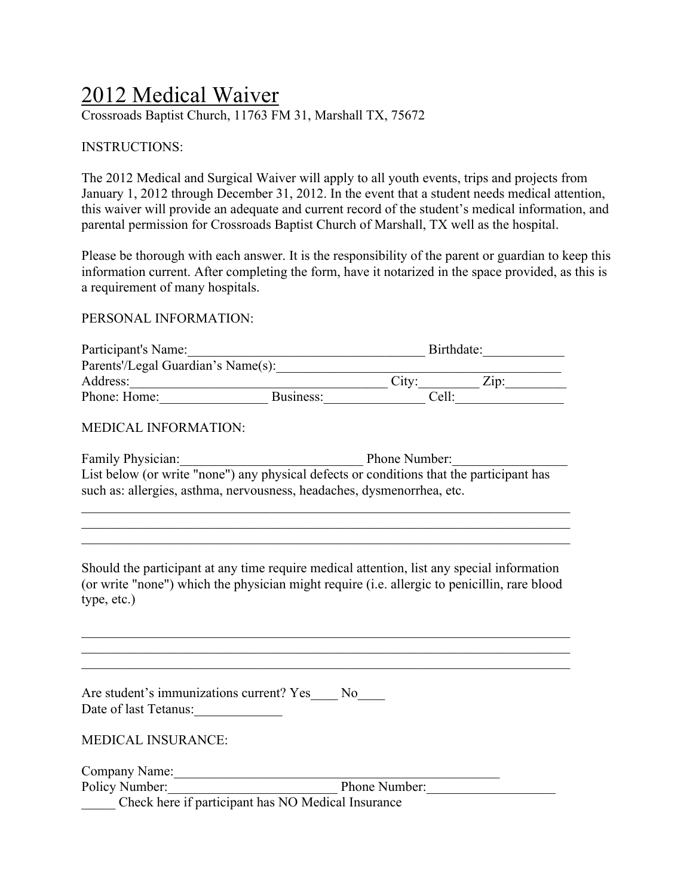# 2012 Medical Waiver

Crossroads Baptist Church, 11763 FM 31, Marshall TX, 75672

INSTRUCTIONS:

The 2012 Medical and Surgical Waiver will apply to all youth events, trips and projects from January 1, 2012 through December 31, 2012. In the event that a student needs medical attention, this waiver will provide an adequate and current record of the student's medical information, and parental permission for Crossroads Baptist Church of Marshall, TX well as the hospital.

Please be thorough with each answer. It is the responsibility of the parent or guardian to keep this information current. After completing the form, have it notarized in the space provided, as this is a requirement of many hospitals.

#### PERSONAL INFORMATION:

| Participant's Name:                |           | Birthdate: |                     |  |
|------------------------------------|-----------|------------|---------------------|--|
| Parents'/Legal Guardian's Name(s): |           |            |                     |  |
| Address:                           |           | City:      | $Z$ <sub>10</sub> : |  |
| Phone: Home:                       | Business: | Cell:      |                     |  |

#### MEDICAL INFORMATION:

| <b>Family Physician:</b>                                                                 | Phone Number: |
|------------------------------------------------------------------------------------------|---------------|
| List below (or write "none") any physical defects or conditions that the participant has |               |
| such as: allergies, asthma, nervousness, headaches, dysmenorrhea, etc.                   |               |

 $\mathcal{L}_\text{max} = \mathcal{L}_\text{max} = \mathcal{L}_\text{max} = \mathcal{L}_\text{max} = \mathcal{L}_\text{max} = \mathcal{L}_\text{max} = \mathcal{L}_\text{max} = \mathcal{L}_\text{max} = \mathcal{L}_\text{max} = \mathcal{L}_\text{max} = \mathcal{L}_\text{max} = \mathcal{L}_\text{max} = \mathcal{L}_\text{max} = \mathcal{L}_\text{max} = \mathcal{L}_\text{max} = \mathcal{L}_\text{max} = \mathcal{L}_\text{max} = \mathcal{L}_\text{max} = \mathcal{$  $\mathcal{L}_\text{max} = \mathcal{L}_\text{max} = \mathcal{L}_\text{max} = \mathcal{L}_\text{max} = \mathcal{L}_\text{max} = \mathcal{L}_\text{max} = \mathcal{L}_\text{max} = \mathcal{L}_\text{max} = \mathcal{L}_\text{max} = \mathcal{L}_\text{max} = \mathcal{L}_\text{max} = \mathcal{L}_\text{max} = \mathcal{L}_\text{max} = \mathcal{L}_\text{max} = \mathcal{L}_\text{max} = \mathcal{L}_\text{max} = \mathcal{L}_\text{max} = \mathcal{L}_\text{max} = \mathcal{$  $\mathcal{L}_\text{max}$  , and the contribution of the contribution of the contribution of the contribution of the contribution of the contribution of the contribution of the contribution of the contribution of the contribution of t

Should the participant at any time require medical attention, list any special information (or write "none") which the physician might require (i.e. allergic to penicillin, rare blood type, etc.)

 $\mathcal{L}_\text{max}$  , and the contribution of the contribution of the contribution of the contribution of the contribution of the contribution of the contribution of the contribution of the contribution of the contribution of t  $\mathcal{L}_\text{max}$  , and the contribution of the contribution of the contribution of the contribution of the contribution of the contribution of the contribution of the contribution of the contribution of the contribution of t

| Are student's immunizations current? Yes<br>Date of last Tetanus:                                   | N <sub>o</sub> |
|-----------------------------------------------------------------------------------------------------|----------------|
| <b>MEDICAL INSURANCE:</b>                                                                           |                |
| Company Name:                                                                                       |                |
| Policy Number:                                                                                      | Phone Number:  |
| $\cdot$ $\circ$ $\cdot$ $\cdot$ $\cdot$<br>$\sim$ $\sim$ $\sim$ $\sim$<br>370.3111117<br>$\sim$ 1 1 |                |

\_\_\_\_\_ Check here if participant has NO Medical Insurance